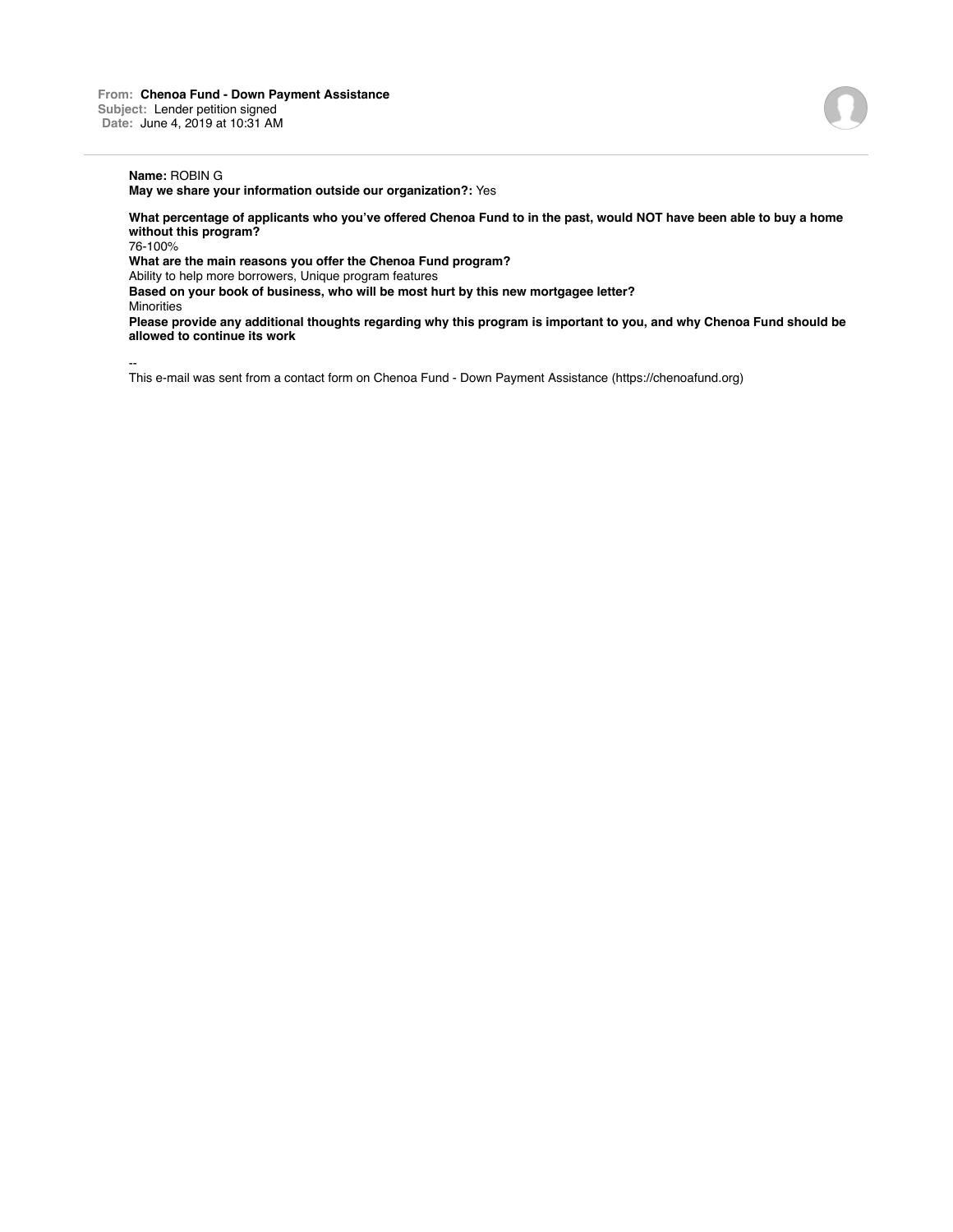## **Name:** ROBIN G

**May we share your information outside our organization?:** Yes

**What percentage of applicants who you've offered Chenoa Fund to in the past, would NOT have been able to buy a home without this program?**

76-100%

**What are the main reasons you offer the Chenoa Fund program?**

Ability to help more borrowers, Unique program features

**Based on your book of business, who will be most hurt by this new mortgagee letter?**

**Minorities** 

**Please provide any additional thoughts regarding why this program is important to you, and why Chenoa Fund should be allowed to continue its work**

--

This e-mail was sent from a contact form on Chenoa Fund - Down Payment Assistance (https://chenoafund.org)